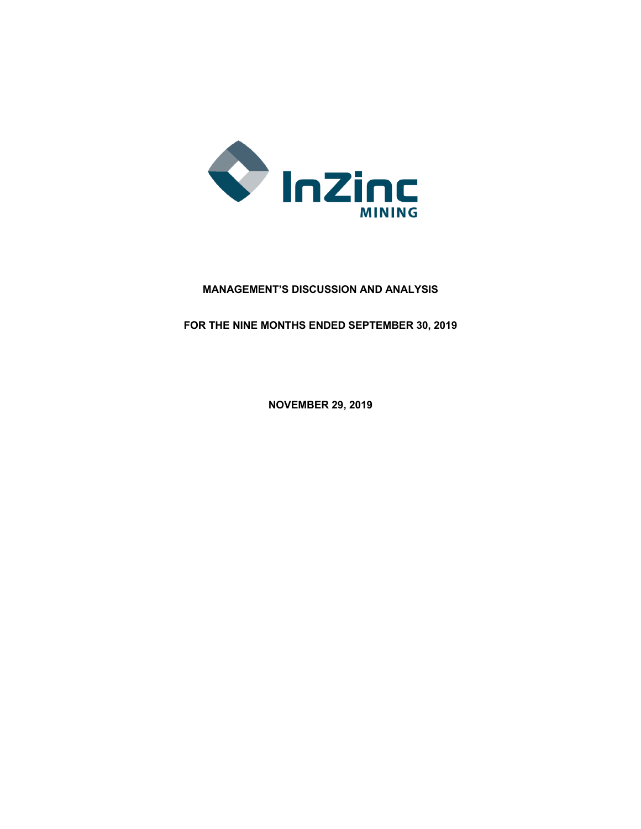

# **MANAGEMENT'S DISCUSSION AND ANALYSIS**

**FOR THE NINE MONTHS ENDED SEPTEMBER 30, 2019**

**NOVEMBER 29, 2019**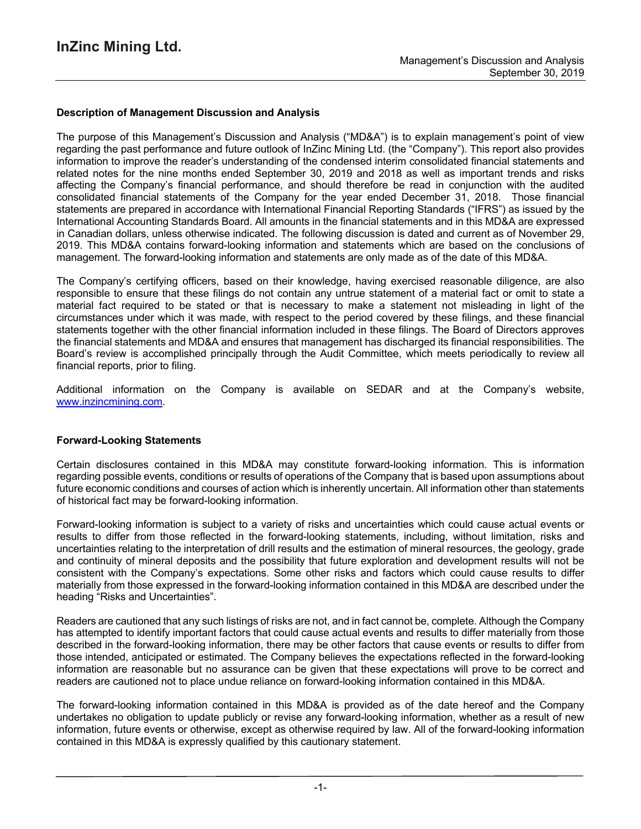## **Description of Management Discussion and Analysis**

The purpose of this Management's Discussion and Analysis ("MD&A") is to explain management's point of view regarding the past performance and future outlook of InZinc Mining Ltd. (the "Company"). This report also provides information to improve the reader's understanding of the condensed interim consolidated financial statements and related notes for the nine months ended September 30, 2019 and 2018 as well as important trends and risks affecting the Company's financial performance, and should therefore be read in conjunction with the audited consolidated financial statements of the Company for the year ended December 31, 2018. Those financial statements are prepared in accordance with International Financial Reporting Standards ("IFRS") as issued by the International Accounting Standards Board. All amounts in the financial statements and in this MD&A are expressed in Canadian dollars, unless otherwise indicated. The following discussion is dated and current as of November 29, 2019. This MD&A contains forward-looking information and statements which are based on the conclusions of management. The forward-looking information and statements are only made as of the date of this MD&A.

The Company's certifying officers, based on their knowledge, having exercised reasonable diligence, are also responsible to ensure that these filings do not contain any untrue statement of a material fact or omit to state a material fact required to be stated or that is necessary to make a statement not misleading in light of the circumstances under which it was made, with respect to the period covered by these filings, and these financial statements together with the other financial information included in these filings. The Board of Directors approves the financial statements and MD&A and ensures that management has discharged its financial responsibilities. The Board's review is accomplished principally through the Audit Committee, which meets periodically to review all financial reports, prior to filing.

Additional information on the Company is available on SEDAR and at the Company's website, www.inzincmining.com.

#### **Forward-Looking Statements**

Certain disclosures contained in this MD&A may constitute forward-looking information. This is information regarding possible events, conditions or results of operations of the Company that is based upon assumptions about future economic conditions and courses of action which is inherently uncertain. All information other than statements of historical fact may be forward-looking information.

Forward-looking information is subject to a variety of risks and uncertainties which could cause actual events or results to differ from those reflected in the forward-looking statements, including, without limitation, risks and uncertainties relating to the interpretation of drill results and the estimation of mineral resources, the geology, grade and continuity of mineral deposits and the possibility that future exploration and development results will not be consistent with the Company's expectations. Some other risks and factors which could cause results to differ materially from those expressed in the forward-looking information contained in this MD&A are described under the heading "Risks and Uncertainties".

Readers are cautioned that any such listings of risks are not, and in fact cannot be, complete. Although the Company has attempted to identify important factors that could cause actual events and results to differ materially from those described in the forward-looking information, there may be other factors that cause events or results to differ from those intended, anticipated or estimated. The Company believes the expectations reflected in the forward-looking information are reasonable but no assurance can be given that these expectations will prove to be correct and readers are cautioned not to place undue reliance on forward-looking information contained in this MD&A.

The forward-looking information contained in this MD&A is provided as of the date hereof and the Company undertakes no obligation to update publicly or revise any forward-looking information, whether as a result of new information, future events or otherwise, except as otherwise required by law. All of the forward-looking information contained in this MD&A is expressly qualified by this cautionary statement.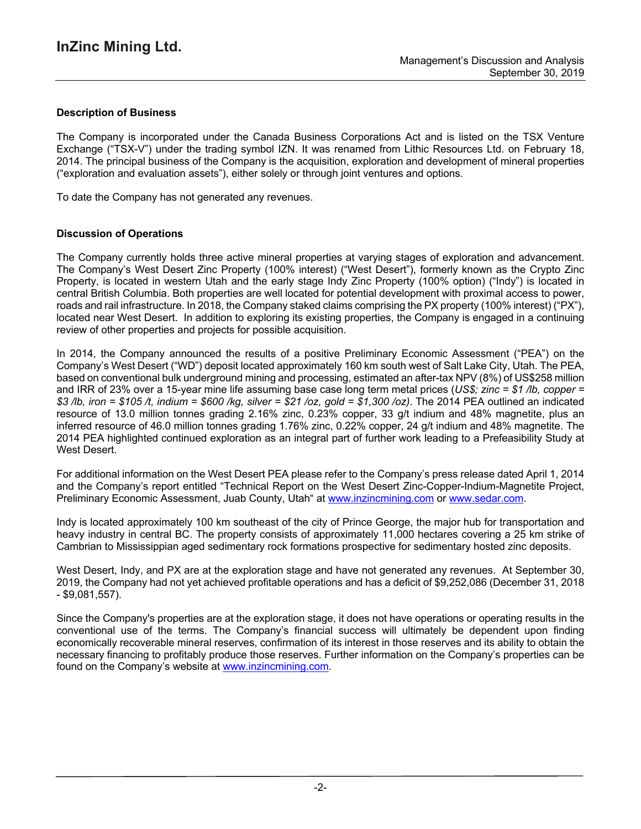## **Description of Business**

The Company is incorporated under the Canada Business Corporations Act and is listed on the TSX Venture Exchange ("TSX-V") under the trading symbol IZN. It was renamed from Lithic Resources Ltd. on February 18, 2014. The principal business of the Company is the acquisition, exploration and development of mineral properties ("exploration and evaluation assets"), either solely or through joint ventures and options.

To date the Company has not generated any revenues.

## **Discussion of Operations**

The Company currently holds three active mineral properties at varying stages of exploration and advancement. The Company's West Desert Zinc Property (100% interest) ("West Desert"), formerly known as the Crypto Zinc Property, is located in western Utah and the early stage Indy Zinc Property (100% option) ("Indy") is located in central British Columbia. Both properties are well located for potential development with proximal access to power, roads and rail infrastructure. In 2018, the Company staked claims comprising the PX property (100% interest) ("PX"), located near West Desert. In addition to exploring its existing properties, the Company is engaged in a continuing review of other properties and projects for possible acquisition.

In 2014, the Company announced the results of a positive Preliminary Economic Assessment ("PEA") on the Company's West Desert ("WD") deposit located approximately 160 km south west of Salt Lake City, Utah. The PEA, based on conventional bulk underground mining and processing, estimated an after-tax NPV (8%) of US\$258 million and IRR of 23% over a 15-year mine life assuming base case long term metal prices (*US\$; zinc = \$1 /lb, copper =* \$3 /lb, iron = \$105 /t, indium = \$600 /kg, silver = \$21 /oz, gold = \$1,300 /oz). The 2014 PEA outlined an indicated resource of 13.0 million tonnes grading 2.16% zinc, 0.23% copper, 33 g/t indium and 48% magnetite, plus an inferred resource of 46.0 million tonnes grading 1.76% zinc, 0.22% copper, 24 g/t indium and 48% magnetite. The 2014 PEA highlighted continued exploration as an integral part of further work leading to a Prefeasibility Study at West Desert.

For additional information on the West Desert PEA please refer to the Company's press release dated April 1, 2014 and the Company's report entitled "Technical Report on the West Desert Zinc-Copper-Indium-Magnetite Project, Preliminary Economic Assessment, Juab County, Utah" at www.inzincmining.com or www.sedar.com.

Indy is located approximately 100 km southeast of the city of Prince George, the major hub for transportation and heavy industry in central BC. The property consists of approximately 11,000 hectares covering a 25 km strike of Cambrian to Mississippian aged sedimentary rock formations prospective for sedimentary hosted zinc deposits.

West Desert, Indy, and PX are at the exploration stage and have not generated any revenues. At September 30, 2019, the Company had not yet achieved profitable operations and has a deficit of \$9,252,086 (December 31, 2018 - \$9,081,557).

Since the Company's properties are at the exploration stage, it does not have operations or operating results in the conventional use of the terms. The Company's financial success will ultimately be dependent upon finding economically recoverable mineral reserves, confirmation of its interest in those reserves and its ability to obtain the necessary financing to profitably produce those reserves. Further information on the Company's properties can be found on the Company's website at www.inzincmining.com.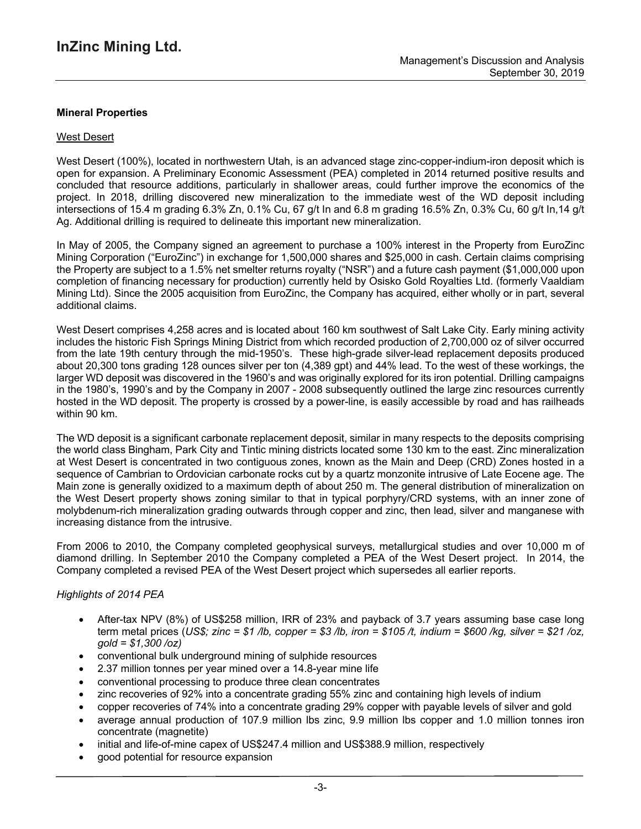## **Mineral Properties**

#### West Desert

West Desert (100%), located in northwestern Utah, is an advanced stage zinc-copper-indium-iron deposit which is open for expansion. A Preliminary Economic Assessment (PEA) completed in 2014 returned positive results and concluded that resource additions, particularly in shallower areas, could further improve the economics of the project. In 2018, drilling discovered new mineralization to the immediate west of the WD deposit including intersections of 15.4 m grading 6.3% Zn, 0.1% Cu, 67 g/t In and 6.8 m grading 16.5% Zn, 0.3% Cu, 60 g/t In,14 g/t Ag. Additional drilling is required to delineate this important new mineralization.

In May of 2005, the Company signed an agreement to purchase a 100% interest in the Property from EuroZinc Mining Corporation ("EuroZinc") in exchange for 1,500,000 shares and \$25,000 in cash. Certain claims comprising the Property are subject to a 1.5% net smelter returns royalty ("NSR") and a future cash payment (\$1,000,000 upon completion of financing necessary for production) currently held by Osisko Gold Royalties Ltd. (formerly Vaaldiam Mining Ltd). Since the 2005 acquisition from EuroZinc, the Company has acquired, either wholly or in part, several additional claims.

West Desert comprises 4,258 acres and is located about 160 km southwest of Salt Lake City. Early mining activity includes the historic Fish Springs Mining District from which recorded production of 2,700,000 oz of silver occurred from the late 19th century through the mid-1950's. These high-grade silver-lead replacement deposits produced about 20,300 tons grading 128 ounces silver per ton (4,389 gpt) and 44% lead. To the west of these workings, the larger WD deposit was discovered in the 1960's and was originally explored for its iron potential. Drilling campaigns in the 1980's, 1990's and by the Company in 2007 - 2008 subsequently outlined the large zinc resources currently hosted in the WD deposit. The property is crossed by a power-line, is easily accessible by road and has railheads within 90 km.

The WD deposit is a significant carbonate replacement deposit, similar in many respects to the deposits comprising the world class Bingham, Park City and Tintic mining districts located some 130 km to the east. Zinc mineralization at West Desert is concentrated in two contiguous zones, known as the Main and Deep (CRD) Zones hosted in a sequence of Cambrian to Ordovician carbonate rocks cut by a quartz monzonite intrusive of Late Eocene age. The Main zone is generally oxidized to a maximum depth of about 250 m. The general distribution of mineralization on the West Desert property shows zoning similar to that in typical porphyry/CRD systems, with an inner zone of molybdenum-rich mineralization grading outwards through copper and zinc, then lead, silver and manganese with increasing distance from the intrusive.

From 2006 to 2010, the Company completed geophysical surveys, metallurgical studies and over 10,000 m of diamond drilling. In September 2010 the Company completed a PEA of the West Desert project. In 2014, the Company completed a revised PEA of the West Desert project which supersedes all earlier reports.

#### *Highlights of 2014 PEA*

- After-tax NPV (8%) of US\$258 million, IRR of 23% and payback of 3.7 years assuming base case long term metal prices (US\$; zinc = \$1 /b, copper = \$3 /b, iron = \$105 /t, indium = \$600 /kg, silver = \$21 /oz, *gold = \$1,300 /oz)*
- conventional bulk underground mining of sulphide resources
- 2.37 million tonnes per year mined over a 14.8-year mine life
- conventional processing to produce three clean concentrates
- zinc recoveries of 92% into a concentrate grading 55% zinc and containing high levels of indium
- copper recoveries of 74% into a concentrate grading 29% copper with payable levels of silver and gold
- average annual production of 107.9 million lbs zinc, 9.9 million lbs copper and 1.0 million tonnes iron concentrate (magnetite)
- initial and life-of-mine capex of US\$247.4 million and US\$388.9 million, respectively
- good potential for resource expansion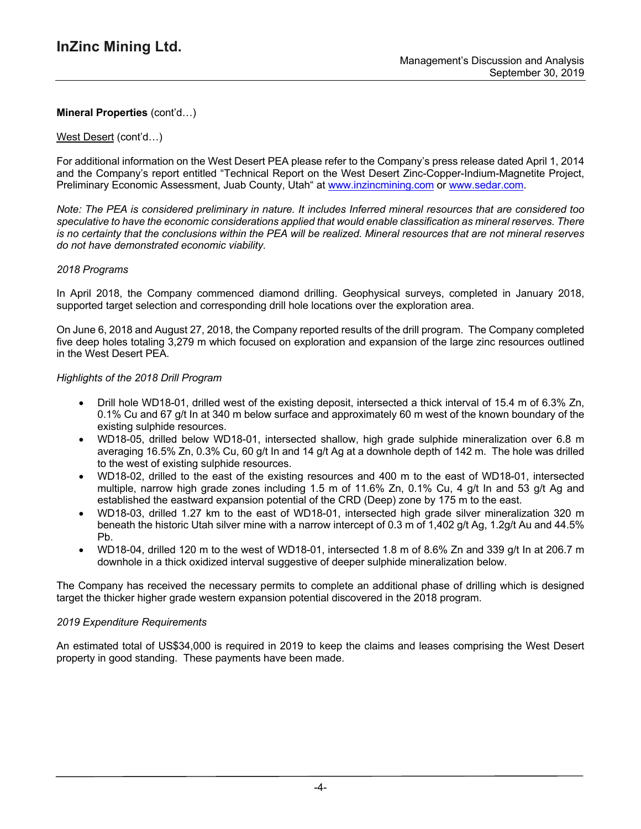### West Desert (cont'd…)

For additional information on the West Desert PEA please refer to the Company's press release dated April 1, 2014 and the Company's report entitled "Technical Report on the West Desert Zinc-Copper-Indium-Magnetite Project, Preliminary Economic Assessment, Juab County, Utah" at www.inzincmining.com or www.sedar.com.

Note: The PEA is considered preliminary in nature. It includes Inferred mineral resources that are considered too *speculative to have the economic considerations applied that would enable classification as mineral reserves. There* is no certainty that the conclusions within the PEA will be realized. Mineral resources that are not mineral reserves *do not have demonstrated economic viability.*

### *2018 Programs*

In April 2018, the Company commenced diamond drilling. Geophysical surveys, completed in January 2018, supported target selection and corresponding drill hole locations over the exploration area.

On June 6, 2018 and August 27, 2018, the Company reported results of the drill program. The Company completed five deep holes totaling 3,279 m which focused on exploration and expansion of the large zinc resources outlined in the West Desert PEA.

### *Highlights of the 2018 Drill Program*

- Drill hole WD18-01, drilled west of the existing deposit, intersected a thick interval of 15.4 m of 6.3% Zn, 0.1% Cu and 67 g/t In at 340 m below surface and approximately 60 m west of the known boundary of the existing sulphide resources.
- WD18-05, drilled below WD18-01, intersected shallow, high grade sulphide mineralization over 6.8 m averaging 16.5% Zn, 0.3% Cu, 60 g/t In and 14 g/t Ag at a downhole depth of 142 m. The hole was drilled to the west of existing sulphide resources.
- WD18-02, drilled to the east of the existing resources and 400 m to the east of WD18-01, intersected multiple, narrow high grade zones including 1.5 m of 11.6% Zn, 0.1% Cu, 4 g/t In and 53 g/t Ag and established the eastward expansion potential of the CRD (Deep) zone by 175 m to the east.
- WD18-03, drilled 1.27 km to the east of WD18-01, intersected high grade silver mineralization 320 m beneath the historic Utah silver mine with a narrow intercept of 0.3 m of 1,402 g/t Ag, 1.2g/t Au and 44.5% Pb.
- WD18-04, drilled 120 m to the west of WD18-01, intersected 1.8 m of 8.6% Zn and 339 g/t In at 206.7 m downhole in a thick oxidized interval suggestive of deeper sulphide mineralization below.

The Company has received the necessary permits to complete an additional phase of drilling which is designed target the thicker higher grade western expansion potential discovered in the 2018 program.

#### *2019 Expenditure Requirements*

An estimated total of US\$34,000 is required in 2019 to keep the claims and leases comprising the West Desert property in good standing. These payments have been made.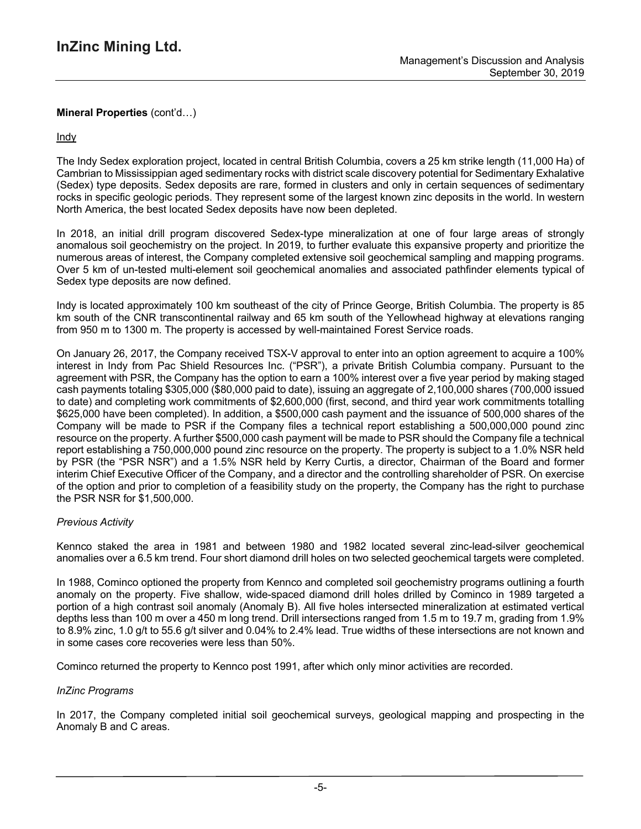Indy

The Indy Sedex exploration project, located in central British Columbia, covers a 25 km strike length (11,000 Ha) of Cambrian to Mississippian aged sedimentary rocks with district scale discovery potential for Sedimentary Exhalative (Sedex) type deposits. Sedex deposits are rare, formed in clusters and only in certain sequences of sedimentary rocks in specific geologic periods. They represent some of the largest known zinc deposits in the world. In western North America, the best located Sedex deposits have now been depleted.

In 2018, an initial drill program discovered Sedex-type mineralization at one of four large areas of strongly anomalous soil geochemistry on the project. In 2019, to further evaluate this expansive property and prioritize the numerous areas of interest, the Company completed extensive soil geochemical sampling and mapping programs. Over 5 km of un-tested multi-element soil geochemical anomalies and associated pathfinder elements typical of Sedex type deposits are now defined.

Indy is located approximately 100 km southeast of the city of Prince George, British Columbia. The property is 85 km south of the CNR transcontinental railway and 65 km south of the Yellowhead highway at elevations ranging from 950 m to 1300 m. The property is accessed by well-maintained Forest Service roads.

On January 26, 2017, the Company received TSX-V approval to enter into an option agreement to acquire a 100% interest in Indy from Pac Shield Resources Inc. ("PSR"), a private British Columbia company. Pursuant to the agreement with PSR, the Company has the option to earn a 100% interest over a five year period by making staged cash payments totaling \$305,000 (\$80,000 paid to date), issuing an aggregate of 2,100,000 shares (700,000 issued to date) and completing work commitments of \$2,600,000 (first, second, and third year work commitments totalling \$625,000 have been completed). In addition, a \$500,000 cash payment and the issuance of 500,000 shares of the Company will be made to PSR if the Company files a technical report establishing a 500,000,000 pound zinc resource on the property. A further \$500,000 cash payment will be made to PSR should the Company file a technical report establishing a 750,000,000 pound zinc resource on the property. The property is subject to a 1.0% NSR held by PSR (the "PSR NSR") and a 1.5% NSR held by Kerry Curtis, a director, Chairman of the Board and former interim Chief Executive Officer of the Company, and a director and the controlling shareholder of PSR. On exercise of the option and prior to completion of a feasibility study on the property, the Company has the right to purchase the PSR NSR for \$1,500,000.

## *Previous Activity*

Kennco staked the area in 1981 and between 1980 and 1982 located several zinc-lead-silver geochemical anomalies over a 6.5 km trend. Four short diamond drill holes on two selected geochemical targets were completed.

In 1988, Cominco optioned the property from Kennco and completed soil geochemistry programs outlining a fourth anomaly on the property. Five shallow, wide-spaced diamond drill holes drilled by Cominco in 1989 targeted a portion of a high contrast soil anomaly (Anomaly B). All five holes intersected mineralization at estimated vertical depths less than 100 m over a 450 m long trend. Drill intersections ranged from 1.5 m to 19.7 m, grading from 1.9% to 8.9% zinc, 1.0 g/t to 55.6 g/t silver and 0.04% to 2.4% lead. True widths of these intersections are not known and in some cases core recoveries were less than 50%.

Cominco returned the property to Kennco post 1991, after which only minor activities are recorded.

## *InZinc Programs*

In 2017, the Company completed initial soil geochemical surveys, geological mapping and prospecting in the Anomaly B and C areas.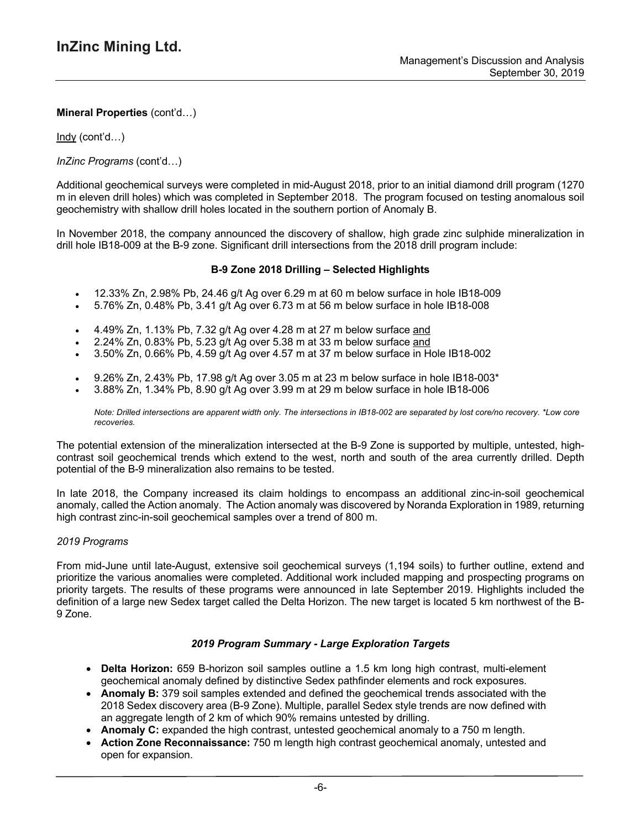Indy (cont'd…)

*InZinc Programs* (cont'd…)

Additional geochemical surveys were completed in mid-August 2018, prior to an initial diamond drill program (1270 m in eleven drill holes) which was completed in September 2018. The program focused on testing anomalous soil geochemistry with shallow drill holes located in the southern portion of Anomaly B.

In November 2018, the company announced the discovery of shallow, high grade zinc sulphide mineralization in drill hole IB18-009 at the B-9 zone. Significant drill intersections from the 2018 drill program include:

### **B-9 Zone 2018 Drilling – Selected Highlights**

- 12.33% Zn, 2.98% Pb, 24.46 g/t Ag over 6.29 m at 60 m below surface in hole IB18-009
- 5.76% Zn, 0.48% Pb, 3.41 g/t Ag over 6.73 m at 56 m below surface in hole IB18-008
- 4.49% Zn, 1.13% Pb, 7.32 g/t Ag over 4.28 m at 27 m below surface and
- 2.24% Zn, 0.83% Pb, 5.23 g/t Ag over 5.38 m at 33 m below surface and
- 3.50% Zn, 0.66% Pb, 4.59 g/t Ag over 4.57 m at 37 m below surface in Hole IB18-002
- 9.26% Zn, 2.43% Pb, 17.98 g/t Ag over 3.05 m at 23 m below surface in hole IB18-003\*
- 3.88% Zn, 1.34% Pb, 8.90 g/t Ag over 3.99 m at 29 m below surface in hole IB18-006

Note: Drilled intersections are apparent width only. The intersections in IB18-002 are separated by lost core/no recovery. \*Low core *recoveries.*

The potential extension of the mineralization intersected at the B-9 Zone is supported by multiple, untested, highcontrast soil geochemical trends which extend to the west, north and south of the area currently drilled. Depth potential of the B-9 mineralization also remains to be tested.

In late 2018, the Company increased its claim holdings to encompass an additional zinc-in-soil geochemical anomaly, called the Action anomaly. The Action anomaly was discovered by Noranda Exploration in 1989, returning high contrast zinc-in-soil geochemical samples over a trend of 800 m.

#### *2019 Programs*

From mid-June until late-August, extensive soil geochemical surveys (1,194 soils) to further outline, extend and prioritize the various anomalies were completed. Additional work included mapping and prospecting programs on priority targets. The results of these programs were announced in late September 2019. Highlights included the definition of a large new Sedex target called the Delta Horizon. The new target is located 5 km northwest of the B-9 Zone.

#### *2019 Program Summary - Large Exploration Targets*

- **Delta Horizon:** 659 B-horizon soil samples outline a 1.5 km long high contrast, multi-element geochemical anomaly defined by distinctive Sedex pathfinder elements and rock exposures.
- **Anomaly B:** 379 soil samples extended and defined the geochemical trends associated with the 2018 Sedex discovery area (B-9 Zone). Multiple, parallel Sedex style trends are now defined with an aggregate length of 2 km of which 90% remains untested by drilling.
- **Anomaly C:** expanded the high contrast, untested geochemical anomaly to a 750 m length.
- **Action Zone Reconnaissance:** 750 m length high contrast geochemical anomaly, untested and open for expansion.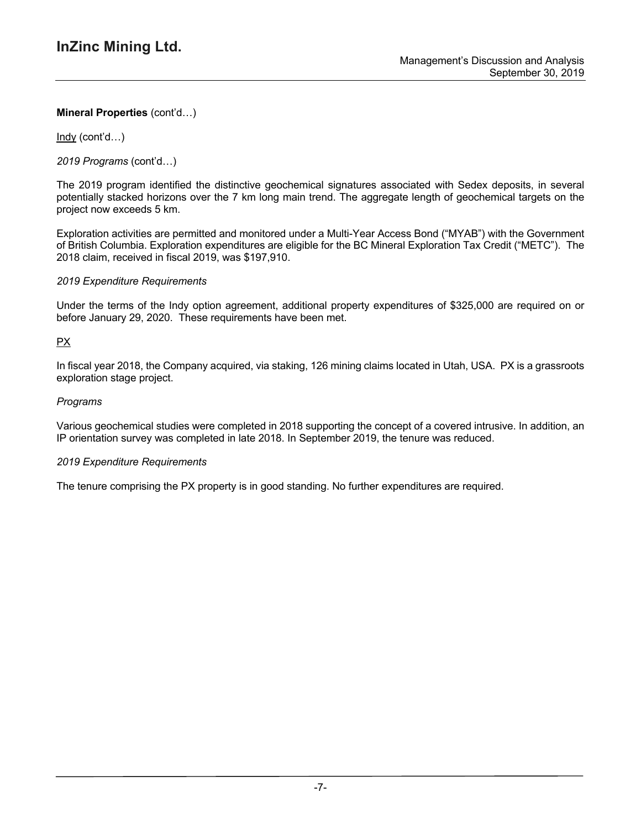Indy (cont'd…)

*2019 Programs* (cont'd…)

The 2019 program identified the distinctive geochemical signatures associated with Sedex deposits, in several potentially stacked horizons over the 7 km long main trend. The aggregate length of geochemical targets on the project now exceeds 5 km.

Exploration activities are permitted and monitored under a Multi-Year Access Bond ("MYAB") with the Government of British Columbia. Exploration expenditures are eligible for the BC Mineral Exploration Tax Credit ("METC"). The 2018 claim, received in fiscal 2019, was \$197,910.

### *2019 Expenditure Requirements*

Under the terms of the Indy option agreement, additional property expenditures of \$325,000 are required on or before January 29, 2020. These requirements have been met.

## PX

In fiscal year 2018, the Company acquired, via staking, 126 mining claims located in Utah, USA. PX is a grassroots exploration stage project.

### *Programs*

Various geochemical studies were completed in 2018 supporting the concept of a covered intrusive. In addition, an IP orientation survey was completed in late 2018. In September 2019, the tenure was reduced.

#### *2019 Expenditure Requirements*

The tenure comprising the PX property is in good standing. No further expenditures are required.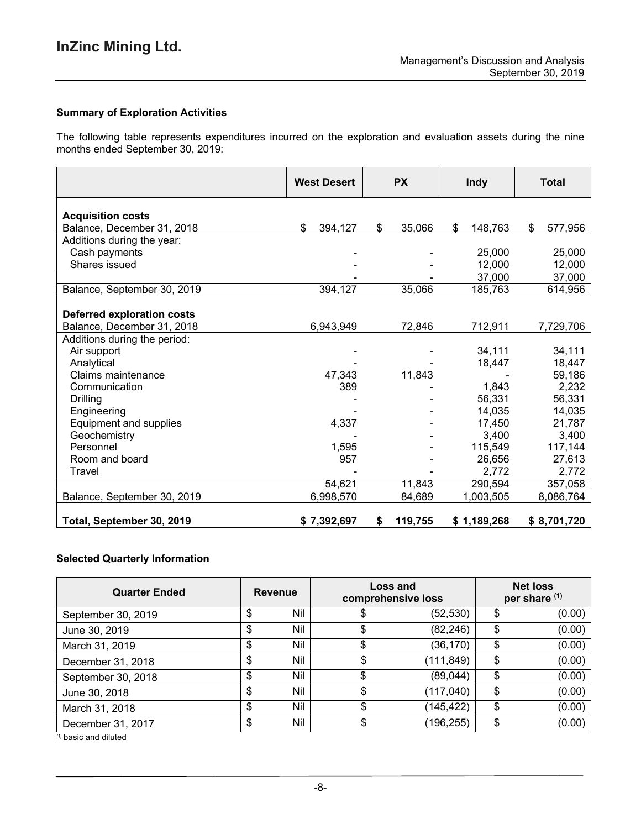### **Summary of Exploration Activities**

The following table represents expenditures incurred on the exploration and evaluation assets during the nine months ended September 30, 2019:

|                                   | <b>West Desert</b> | <b>PX</b>     | <b>Indy</b>   | <b>Total</b>  |
|-----------------------------------|--------------------|---------------|---------------|---------------|
| <b>Acquisition costs</b>          |                    |               |               |               |
| Balance, December 31, 2018        | \$<br>394,127      | \$<br>35,066  | \$<br>148,763 | \$<br>577,956 |
| Additions during the year:        |                    |               |               |               |
| Cash payments                     |                    |               | 25,000        | 25,000        |
| Shares issued                     |                    |               | 12,000        | 12,000        |
|                                   |                    |               | 37,000        | 37,000        |
| Balance, September 30, 2019       | 394,127            | 35,066        | 185,763       | 614,956       |
| <b>Deferred exploration costs</b> |                    |               |               |               |
| Balance, December 31, 2018        | 6,943,949          | 72,846        | 712,911       | 7,729,706     |
| Additions during the period:      |                    |               |               |               |
| Air support                       |                    |               | 34,111        | 34,111        |
| Analytical                        |                    |               | 18,447        | 18,447        |
| Claims maintenance                | 47,343             | 11,843        |               | 59,186        |
| Communication                     | 389                |               | 1,843         | 2,232         |
| <b>Drilling</b>                   |                    |               | 56,331        | 56,331        |
| Engineering                       |                    |               | 14,035        | 14,035        |
| Equipment and supplies            | 4,337              |               | 17,450        | 21,787        |
| Geochemistry                      |                    |               | 3,400         | 3,400         |
| Personnel                         | 1,595              |               | 115,549       | 117,144       |
| Room and board                    | 957                |               | 26,656        | 27,613        |
| Travel                            |                    |               | 2,772         | 2,772         |
|                                   | 54,621             | 11,843        | 290,594       | 357,058       |
| Balance, September 30, 2019       | 6,998,570          | 84,689        | 1,003,505     | 8,086,764     |
| Total, September 30, 2019         | \$7,392,697        | 119,755<br>\$ | \$1,189,268   | \$8,701,720   |

### **Selected Quarterly Information**

| <b>Quarter Ended</b> | <b>Revenue</b> |     | Loss and<br>comprehensive loss |            | <b>Net loss</b><br>per share (1) |        |
|----------------------|----------------|-----|--------------------------------|------------|----------------------------------|--------|
| September 30, 2019   | \$             | Nil |                                | (52, 530)  | \$                               | (0.00) |
| June 30, 2019        | \$             | Nil | \$                             | (82, 246)  | \$                               | (0.00) |
| March 31, 2019       | \$             | Nil |                                | (36, 170)  | \$                               | (0.00) |
| December 31, 2018    | \$             | Nil |                                | (111, 849) | \$                               | (0.00) |
| September 30, 2018   | \$             | Nil |                                | (89, 044)  | \$                               | (0.00) |
| June 30, 2018        | \$             | Nil |                                | (117, 040) | \$                               | (0.00) |
| March 31, 2018       | \$             | Nil |                                | (145,422)  | \$                               | (0.00) |
| December 31, 2017    | \$             | Nil | S                              | (196, 255) | \$                               | (0.00) |

*(1)* basic and diluted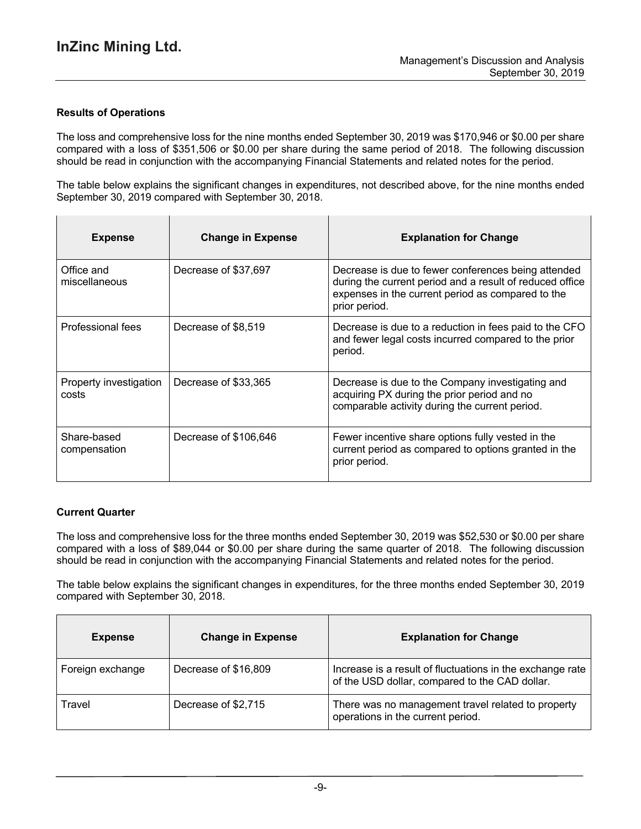### **Results of Operations**

The loss and comprehensive loss for the nine months ended September 30, 2019 was \$170,946 or \$0.00 per share compared with a loss of \$351,506 or \$0.00 per share during the same period of 2018. The following discussion should be read in conjunction with the accompanying Financial Statements and related notes for the period.

The table below explains the significant changes in expenditures, not described above, for the nine months ended September 30, 2019 compared with September 30, 2018.

| <b>Expense</b>                  | <b>Change in Expense</b> | <b>Explanation for Change</b>                                                                                                                                                         |
|---------------------------------|--------------------------|---------------------------------------------------------------------------------------------------------------------------------------------------------------------------------------|
| Office and<br>miscellaneous     | Decrease of \$37,697     | Decrease is due to fewer conferences being attended<br>during the current period and a result of reduced office<br>expenses in the current period as compared to the<br>prior period. |
| Professional fees               | Decrease of \$8,519      | Decrease is due to a reduction in fees paid to the CFO<br>and fewer legal costs incurred compared to the prior<br>period.                                                             |
| Property investigation<br>costs | Decrease of \$33,365     | Decrease is due to the Company investigating and<br>acquiring PX during the prior period and no<br>comparable activity during the current period.                                     |
| Share-based<br>compensation     | Decrease of \$106,646    | Fewer incentive share options fully vested in the<br>current period as compared to options granted in the<br>prior period.                                                            |

## **Current Quarter**

The loss and comprehensive loss for the three months ended September 30, 2019 was \$52,530 or \$0.00 per share compared with a loss of \$89,044 or \$0.00 per share during the same quarter of 2018. The following discussion should be read in conjunction with the accompanying Financial Statements and related notes for the period.

The table below explains the significant changes in expenditures, for the three months ended September 30, 2019 compared with September 30, 2018.

| <b>Expense</b>   | <b>Change in Expense</b> | <b>Explanation for Change</b>                                                                               |
|------------------|--------------------------|-------------------------------------------------------------------------------------------------------------|
| Foreign exchange | Decrease of \$16,809     | Increase is a result of fluctuations in the exchange rate<br>of the USD dollar, compared to the CAD dollar. |
| Travel           | Decrease of \$2,715      | There was no management travel related to property<br>operations in the current period.                     |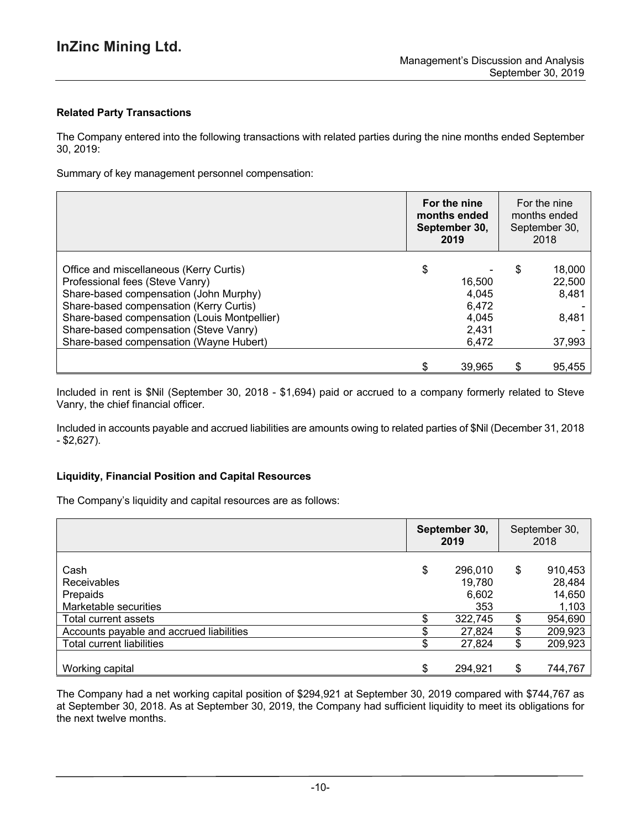# **Related Party Transactions**

The Company entered into the following transactions with related parties during the nine months ended September 30, 2019:

Summary of key management personnel compensation:

|                                              | For the nine<br>months ended<br>September 30,<br>2019 |        | For the nine<br>months ended<br>September 30,<br>2018 |        |
|----------------------------------------------|-------------------------------------------------------|--------|-------------------------------------------------------|--------|
| Office and miscellaneous (Kerry Curtis)      | \$                                                    |        | \$                                                    | 18,000 |
| Professional fees (Steve Vanry)              |                                                       | 16,500 |                                                       | 22,500 |
| Share-based compensation (John Murphy)       |                                                       | 4,045  |                                                       | 8,481  |
| Share-based compensation (Kerry Curtis)      |                                                       | 6,472  |                                                       |        |
| Share-based compensation (Louis Montpellier) |                                                       | 4,045  |                                                       | 8,481  |
| Share-based compensation (Steve Vanry)       |                                                       | 2,431  |                                                       |        |
| Share-based compensation (Wayne Hubert)      |                                                       | 6.472  |                                                       | 37,993 |
|                                              |                                                       | 39,965 | \$                                                    | 95,455 |

Included in rent is \$Nil (September 30, 2018 - \$1,694) paid or accrued to a company formerly related to Steve Vanry, the chief financial officer.

Included in accounts payable and accrued liabilities are amounts owing to related parties of \$Nil (December 31, 2018 - \$2,627).

#### **Liquidity, Financial Position and Capital Resources**

The Company's liquidity and capital resources are as follows:

|                                          | September 30,<br>2019 |         | September 30,<br>2018 |         |
|------------------------------------------|-----------------------|---------|-----------------------|---------|
| Cash                                     | \$                    | 296,010 | \$                    | 910,453 |
| <b>Receivables</b>                       |                       | 19,780  |                       | 28,484  |
| Prepaids                                 |                       | 6,602   |                       | 14,650  |
| Marketable securities                    |                       | 353     |                       | 1,103   |
| Total current assets                     |                       | 322,745 | \$                    | 954,690 |
| Accounts payable and accrued liabilities |                       | 27,824  | \$                    | 209,923 |
| Total current liabilities                |                       | 27,824  | \$                    | 209,923 |
|                                          |                       |         |                       |         |
| Working capital                          | \$                    | 294,921 | \$                    | 744,767 |

The Company had a net working capital position of \$294,921 at September 30, 2019 compared with \$744,767 as at September 30, 2018. As at September 30, 2019, the Company had sufficient liquidity to meet its obligations for the next twelve months.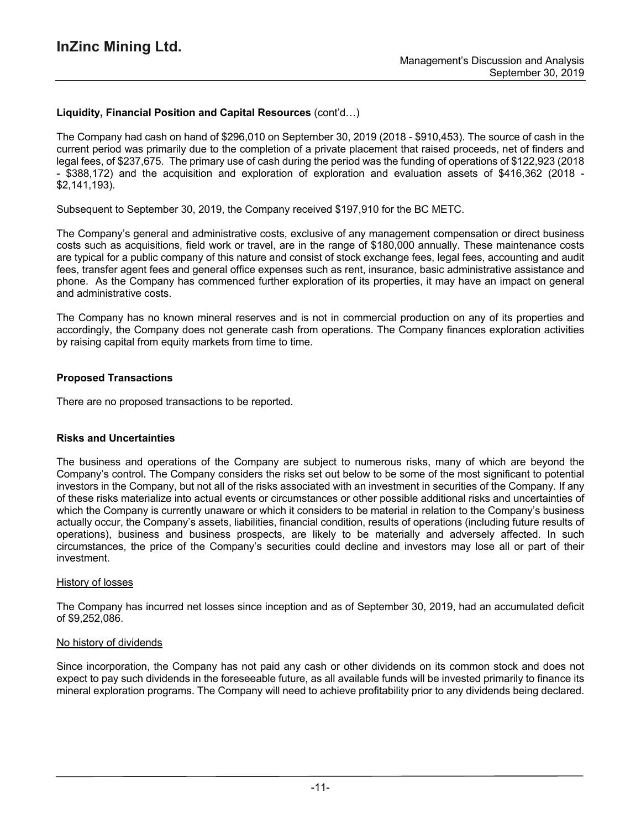## **Liquidity, Financial Position and Capital Resources** (cont'd…)

The Company had cash on hand of \$296,010 on September 30, 2019 (2018 - \$910,453). The source of cash in the current period was primarily due to the completion of a private placement that raised proceeds, net of finders and legal fees, of \$237,675. The primary use of cash during the period was the funding of operations of \$122,923 (2018 - \$388,172) and the acquisition and exploration of exploration and evaluation assets of \$416,362 (2018 - \$2,141,193).

Subsequent to September 30, 2019, the Company received \$197,910 for the BC METC.

The Company's general and administrative costs, exclusive of any management compensation or direct business costs such as acquisitions, field work or travel, are in the range of \$180,000 annually. These maintenance costs are typical for a public company of this nature and consist of stock exchange fees, legal fees, accounting and audit fees, transfer agent fees and general office expenses such as rent, insurance, basic administrative assistance and phone. As the Company has commenced further exploration of its properties, it may have an impact on general and administrative costs.

The Company has no known mineral reserves and is not in commercial production on any of its properties and accordingly, the Company does not generate cash from operations. The Company finances exploration activities by raising capital from equity markets from time to time.

## **Proposed Transactions**

There are no proposed transactions to be reported.

#### **Risks and Uncertainties**

The business and operations of the Company are subject to numerous risks, many of which are beyond the Company's control. The Company considers the risks set out below to be some of the most significant to potential investors in the Company, but not all of the risks associated with an investment in securities of the Company. If any of these risks materialize into actual events or circumstances or other possible additional risks and uncertainties of which the Company is currently unaware or which it considers to be material in relation to the Company's business actually occur, the Company's assets, liabilities, financial condition, results of operations (including future results of operations), business and business prospects, are likely to be materially and adversely affected. In such circumstances, the price of the Company's securities could decline and investors may lose all or part of their investment.

#### History of losses

The Company has incurred net losses since inception and as of September 30, 2019, had an accumulated deficit of \$9,252,086.

#### No history of dividends

Since incorporation, the Company has not paid any cash or other dividends on its common stock and does not expect to pay such dividends in the foreseeable future, as all available funds will be invested primarily to finance its mineral exploration programs. The Company will need to achieve profitability prior to any dividends being declared.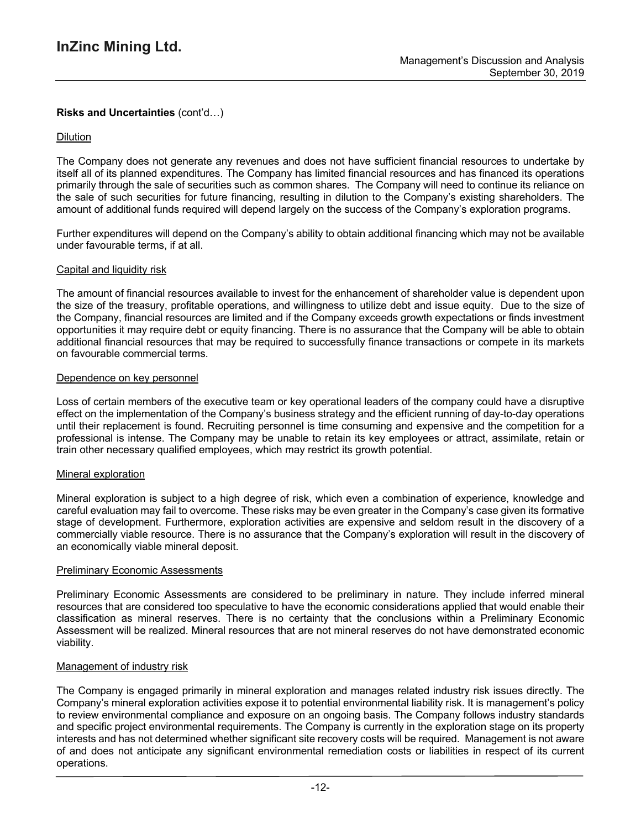# **Risks and Uncertainties** (cont'd…)

### Dilution

The Company does not generate any revenues and does not have sufficient financial resources to undertake by itself all of its planned expenditures. The Company has limited financial resources and has financed its operations primarily through the sale of securities such as common shares. The Company will need to continue its reliance on the sale of such securities for future financing, resulting in dilution to the Company's existing shareholders. The amount of additional funds required will depend largely on the success of the Company's exploration programs.

Further expenditures will depend on the Company's ability to obtain additional financing which may not be available under favourable terms, if at all.

#### Capital and liquidity risk

The amount of financial resources available to invest for the enhancement of shareholder value is dependent upon the size of the treasury, profitable operations, and willingness to utilize debt and issue equity. Due to the size of the Company, financial resources are limited and if the Company exceeds growth expectations or finds investment opportunities it may require debt or equity financing. There is no assurance that the Company will be able to obtain additional financial resources that may be required to successfully finance transactions or compete in its markets on favourable commercial terms.

#### Dependence on key personnel

Loss of certain members of the executive team or key operational leaders of the company could have a disruptive effect on the implementation of the Company's business strategy and the efficient running of day-to-day operations until their replacement is found. Recruiting personnel is time consuming and expensive and the competition for a professional is intense. The Company may be unable to retain its key employees or attract, assimilate, retain or train other necessary qualified employees, which may restrict its growth potential.

#### Mineral exploration

Mineral exploration is subject to a high degree of risk, which even a combination of experience, knowledge and careful evaluation may fail to overcome. These risks may be even greater in the Company's case given its formative stage of development. Furthermore, exploration activities are expensive and seldom result in the discovery of a commercially viable resource. There is no assurance that the Company's exploration will result in the discovery of an economically viable mineral deposit.

#### **Preliminary Economic Assessments**

Preliminary Economic Assessments are considered to be preliminary in nature. They include inferred mineral resources that are considered too speculative to have the economic considerations applied that would enable their classification as mineral reserves. There is no certainty that the conclusions within a Preliminary Economic Assessment will be realized. Mineral resources that are not mineral reserves do not have demonstrated economic viability.

#### Management of industry risk

The Company is engaged primarily in mineral exploration and manages related industry risk issues directly. The Company's mineral exploration activities expose it to potential environmental liability risk. It is management's policy to review environmental compliance and exposure on an ongoing basis. The Company follows industry standards and specific project environmental requirements. The Company is currently in the exploration stage on its property interests and has not determined whether significant site recovery costs will be required. Management is not aware of and does not anticipate any significant environmental remediation costs or liabilities in respect of its current operations.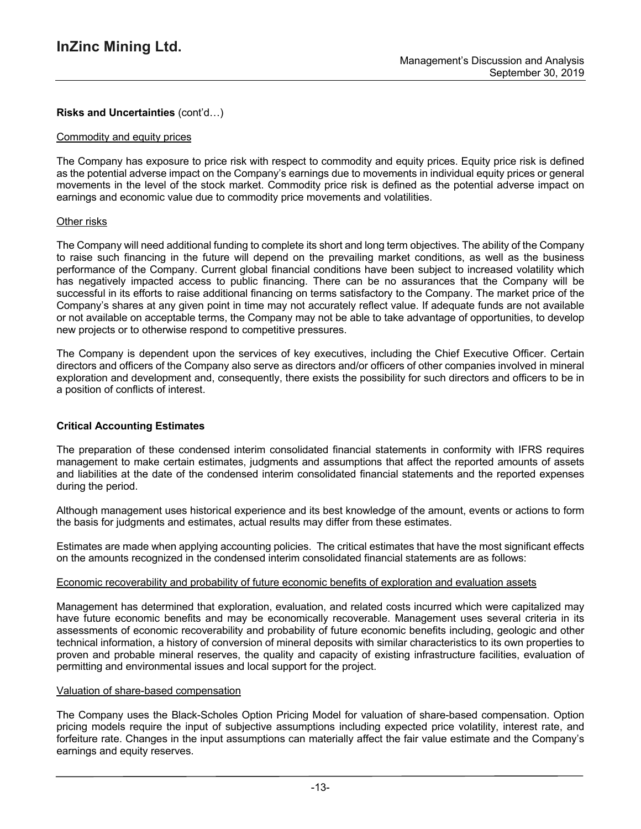# **Risks and Uncertainties** (cont'd…)

#### Commodity and equity prices

The Company has exposure to price risk with respect to commodity and equity prices. Equity price risk is defined as the potential adverse impact on the Company's earnings due to movements in individual equity prices or general movements in the level of the stock market. Commodity price risk is defined as the potential adverse impact on earnings and economic value due to commodity price movements and volatilities.

### Other risks

The Company will need additional funding to complete its short and long term objectives. The ability of the Company to raise such financing in the future will depend on the prevailing market conditions, as well as the business performance of the Company. Current global financial conditions have been subject to increased volatility which has negatively impacted access to public financing. There can be no assurances that the Company will be successful in its efforts to raise additional financing on terms satisfactory to the Company. The market price of the Company's shares at any given point in time may not accurately reflect value. If adequate funds are not available or not available on acceptable terms, the Company may not be able to take advantage of opportunities, to develop new projects or to otherwise respond to competitive pressures.

The Company is dependent upon the services of key executives, including the Chief Executive Officer. Certain directors and officers of the Company also serve as directors and/or officers of other companies involved in mineral exploration and development and, consequently, there exists the possibility for such directors and officers to be in a position of conflicts of interest.

## **Critical Accounting Estimates**

The preparation of these condensed interim consolidated financial statements in conformity with IFRS requires management to make certain estimates, judgments and assumptions that affect the reported amounts of assets and liabilities at the date of the condensed interim consolidated financial statements and the reported expenses during the period.

Although management uses historical experience and its best knowledge of the amount, events or actions to form the basis for judgments and estimates, actual results may differ from these estimates.

Estimates are made when applying accounting policies. The critical estimates that have the most significant effects on the amounts recognized in the condensed interim consolidated financial statements are as follows:

#### Economic recoverability and probability of future economic benefits of exploration and evaluation assets

Management has determined that exploration, evaluation, and related costs incurred which were capitalized may have future economic benefits and may be economically recoverable. Management uses several criteria in its assessments of economic recoverability and probability of future economic benefits including, geologic and other technical information, a history of conversion of mineral deposits with similar characteristics to its own properties to proven and probable mineral reserves, the quality and capacity of existing infrastructure facilities, evaluation of permitting and environmental issues and local support for the project.

#### Valuation of share-based compensation

The Company uses the Black-Scholes Option Pricing Model for valuation of share-based compensation. Option pricing models require the input of subjective assumptions including expected price volatility, interest rate, and forfeiture rate. Changes in the input assumptions can materially affect the fair value estimate and the Company's earnings and equity reserves.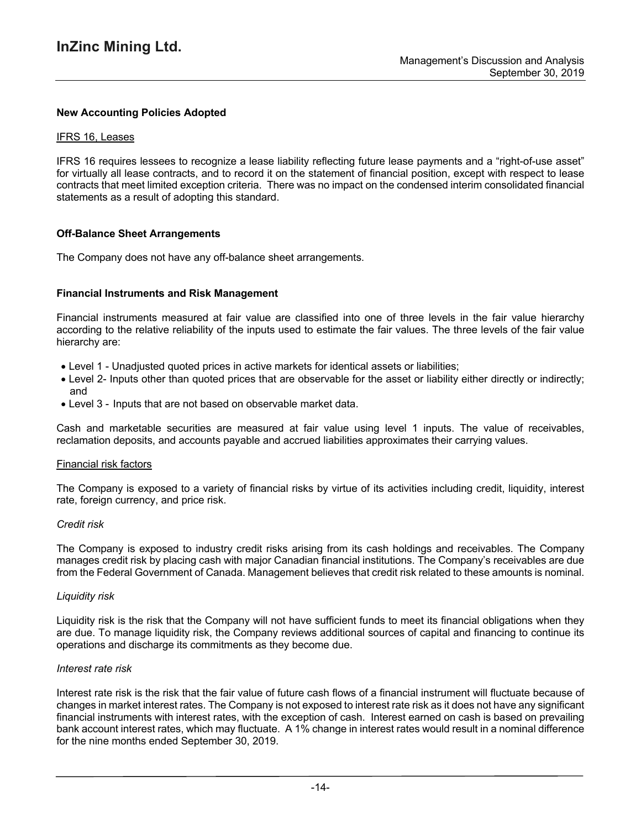### **New Accounting Policies Adopted**

#### IFRS 16, Leases

IFRS 16 requires lessees to recognize a lease liability reflecting future lease payments and a "right-of-use asset" for virtually all lease contracts, and to record it on the statement of financial position, except with respect to lease contracts that meet limited exception criteria. There was no impact on the condensed interim consolidated financial statements as a result of adopting this standard.

#### **Off-Balance Sheet Arrangements**

The Company does not have any off-balance sheet arrangements.

### **Financial Instruments and Risk Management**

Financial instruments measured at fair value are classified into one of three levels in the fair value hierarchy according to the relative reliability of the inputs used to estimate the fair values. The three levels of the fair value hierarchy are:

- Level 1 Unadjusted quoted prices in active markets for identical assets or liabilities;
- Level 2- Inputs other than quoted prices that are observable for the asset or liability either directly or indirectly; and
- Level 3 Inputs that are not based on observable market data.

Cash and marketable securities are measured at fair value using level 1 inputs. The value of receivables, reclamation deposits, and accounts payable and accrued liabilities approximates their carrying values.

#### Financial risk factors

The Company is exposed to a variety of financial risks by virtue of its activities including credit, liquidity, interest rate, foreign currency, and price risk.

#### *Credit risk*

The Company is exposed to industry credit risks arising from its cash holdings and receivables. The Company manages credit risk by placing cash with major Canadian financial institutions. The Company's receivables are due from the Federal Government of Canada. Management believes that credit risk related to these amounts is nominal.

#### *Liquidity risk*

Liquidity risk is the risk that the Company will not have sufficient funds to meet its financial obligations when they are due. To manage liquidity risk, the Company reviews additional sources of capital and financing to continue its operations and discharge its commitments as they become due.

#### *Interest rate risk*

Interest rate risk is the risk that the fair value of future cash flows of a financial instrument will fluctuate because of changes in market interest rates. The Company is not exposed to interest rate risk as it does not have any significant financial instruments with interest rates, with the exception of cash. Interest earned on cash is based on prevailing bank account interest rates, which may fluctuate. A 1% change in interest rates would result in a nominal difference for the nine months ended September 30, 2019.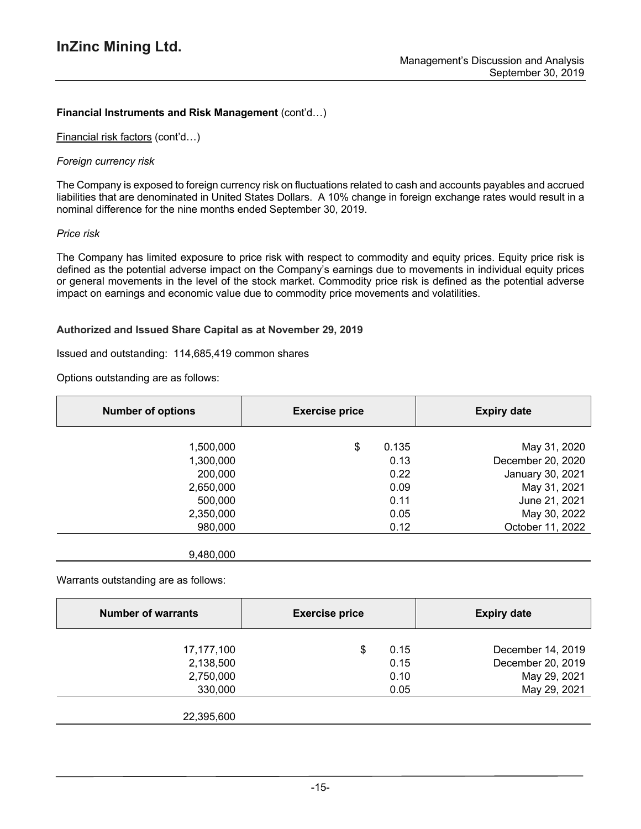# **Financial Instruments and Risk Management** (cont'd…)

Financial risk factors (cont'd…)

#### *Foreign currency risk*

The Company is exposed to foreign currency risk on fluctuations related to cash and accounts payables and accrued liabilities that are denominated in United States Dollars. A 10% change in foreign exchange rates would result in a nominal difference for the nine months ended September 30, 2019.

### *Price risk*

The Company has limited exposure to price risk with respect to commodity and equity prices. Equity price risk is defined as the potential adverse impact on the Company's earnings due to movements in individual equity prices or general movements in the level of the stock market. Commodity price risk is defined as the potential adverse impact on earnings and economic value due to commodity price movements and volatilities.

## **Authorized and Issued Share Capital as at November 29, 2019**

9,480,000

### Issued and outstanding: 114,685,419 common shares

Options outstanding are as follows:

| <b>Number of options</b> | <b>Exercise price</b> |       | <b>Expiry date</b> |
|--------------------------|-----------------------|-------|--------------------|
|                          |                       |       |                    |
| 1,500,000                | \$                    | 0.135 | May 31, 2020       |
| 1,300,000                |                       | 0.13  | December 20, 2020  |
| 200,000                  |                       | 0.22  | January 30, 2021   |
| 2,650,000                |                       | 0.09  | May 31, 2021       |
| 500,000                  |                       | 0.11  | June 21, 2021      |
| 2,350,000                |                       | 0.05  | May 30, 2022       |
| 980,000                  |                       | 0.12  | October 11, 2022   |
|                          |                       |       |                    |

Warrants outstanding are as follows:

| <b>Number of warrants</b> | <b>Exercise price</b> |      | <b>Expiry date</b> |  |
|---------------------------|-----------------------|------|--------------------|--|
| 17,177,100                | S                     | 0.15 | December 14, 2019  |  |
| 2,138,500                 |                       | 0.15 | December 20, 2019  |  |
| 2,750,000                 |                       | 0.10 | May 29, 2021       |  |
| 330,000                   |                       | 0.05 | May 29, 2021       |  |
| 22,395,600                |                       |      |                    |  |